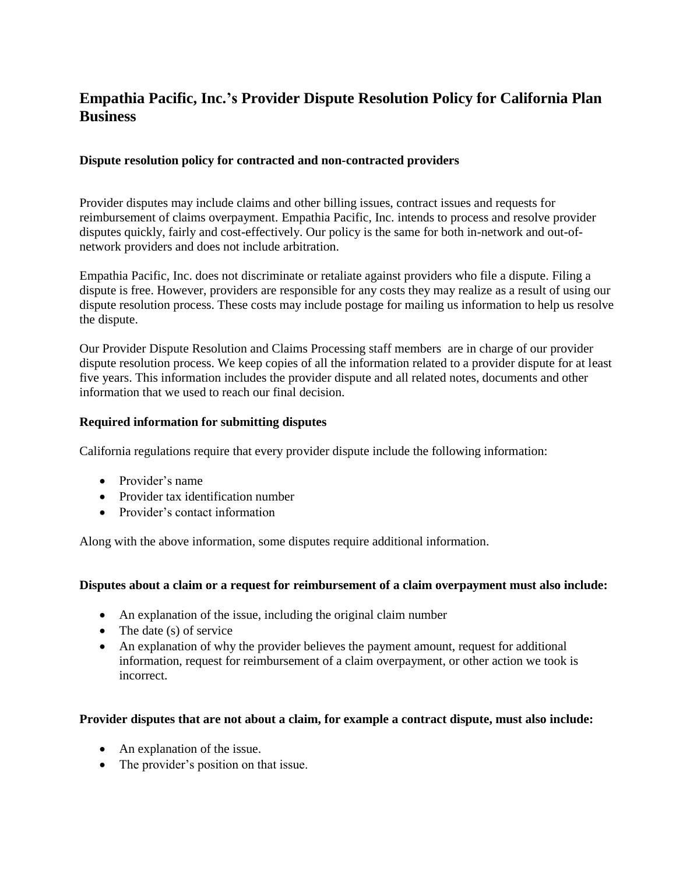# **Empathia Pacific, Inc.'s Provider Dispute Resolution Policy for California Plan Business**

## **Dispute resolution policy for contracted and non-contracted providers**

Provider disputes may include claims and other billing issues, contract issues and requests for reimbursement of claims overpayment. Empathia Pacific, Inc. intends to process and resolve provider disputes quickly, fairly and cost-effectively. Our policy is the same for both in-network and out-ofnetwork providers and does not include arbitration.

Empathia Pacific, Inc. does not discriminate or retaliate against providers who file a dispute. Filing a dispute is free. However, providers are responsible for any costs they may realize as a result of using our dispute resolution process. These costs may include postage for mailing us information to help us resolve the dispute.

Our Provider Dispute Resolution and Claims Processing staff members are in charge of our provider dispute resolution process. We keep copies of all the information related to a provider dispute for at least five years. This information includes the provider dispute and all related notes, documents and other information that we used to reach our final decision.

## **Required information for submitting disputes**

California regulations require that every provider dispute include the following information:

- Provider's name
- Provider tax identification number
- Provider's contact information

Along with the above information, some disputes require additional information.

#### **Disputes about a claim or a request for reimbursement of a claim overpayment must also include:**

- An explanation of the issue, including the original claim number
- $\bullet$  The date (s) of service
- An explanation of why the provider believes the payment amount, request for additional information, request for reimbursement of a claim overpayment, or other action we took is incorrect.

#### **Provider disputes that are not about a claim, for example a contract dispute, must also include:**

- An explanation of the issue.
- The provider's position on that issue.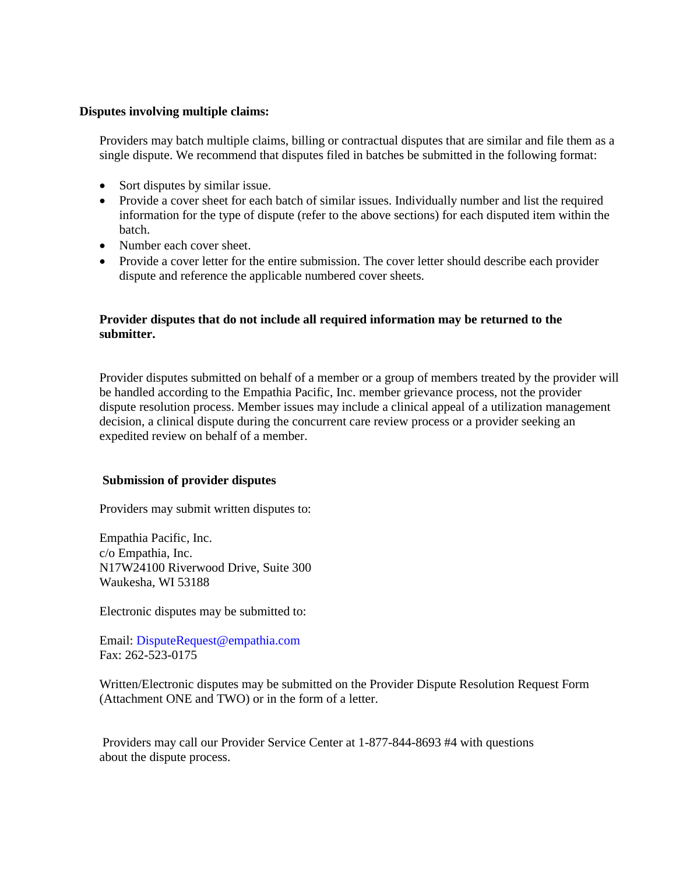### **Disputes involving multiple claims:**

Providers may batch multiple claims, billing or contractual disputes that are similar and file them as a single dispute. We recommend that disputes filed in batches be submitted in the following format:

- Sort disputes by similar issue.
- Provide a cover sheet for each batch of similar issues. Individually number and list the required information for the type of dispute (refer to the above sections) for each disputed item within the batch.
- Number each cover sheet.
- Provide a cover letter for the entire submission. The cover letter should describe each provider dispute and reference the applicable numbered cover sheets.

## **Provider disputes that do not include all required information may be returned to the submitter.**

Provider disputes submitted on behalf of a member or a group of members treated by the provider will be handled according to the Empathia Pacific, Inc. member grievance process, not the provider dispute resolution process. Member issues may include a clinical appeal of a utilization management decision, a clinical dispute during the concurrent care review process or a provider seeking an expedited review on behalf of a member.

#### **Submission of provider disputes**

Providers may submit written disputes to:

Empathia Pacific, Inc. c/o Empathia, Inc. N17W24100 Riverwood Drive, Suite 300 Waukesha, WI 53188

Electronic disputes may be submitted to:

Email: DisputeRequest@empathia.com Fax: 262-523-0175

Written/Electronic disputes may be submitted on the Provider Dispute Resolution Request Form (Attachment ONE and TWO) or in the form of a letter.

Providers may call our Provider Service Center at 1-877-844-8693 #4 with questions about the dispute process.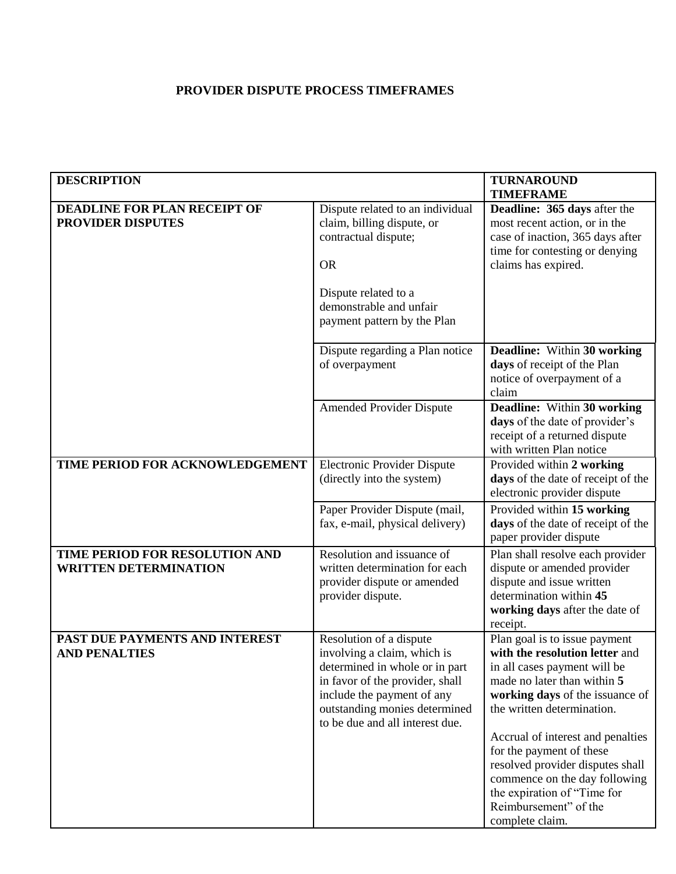# **PROVIDER DISPUTE PROCESS TIMEFRAMES**

| <b>DESCRIPTION</b>                                              | <b>TURNAROUND</b><br><b>TIMEFRAME</b>                                                                                                                                                                                         |                                                                                                                                                                                                                                                                                                                                                                                                                  |  |
|-----------------------------------------------------------------|-------------------------------------------------------------------------------------------------------------------------------------------------------------------------------------------------------------------------------|------------------------------------------------------------------------------------------------------------------------------------------------------------------------------------------------------------------------------------------------------------------------------------------------------------------------------------------------------------------------------------------------------------------|--|
| <b>DEADLINE FOR PLAN RECEIPT OF</b><br><b>PROVIDER DISPUTES</b> | Dispute related to an individual<br>claim, billing dispute, or<br>contractual dispute;<br><b>OR</b><br>Dispute related to a                                                                                                   | Deadline: 365 days after the<br>most recent action, or in the<br>case of inaction, 365 days after<br>time for contesting or denying<br>claims has expired.                                                                                                                                                                                                                                                       |  |
|                                                                 | demonstrable and unfair<br>payment pattern by the Plan                                                                                                                                                                        |                                                                                                                                                                                                                                                                                                                                                                                                                  |  |
|                                                                 | Dispute regarding a Plan notice<br>of overpayment                                                                                                                                                                             | Deadline: Within 30 working<br>days of receipt of the Plan<br>notice of overpayment of a<br>claim                                                                                                                                                                                                                                                                                                                |  |
|                                                                 | <b>Amended Provider Dispute</b>                                                                                                                                                                                               | Deadline: Within 30 working<br>days of the date of provider's<br>receipt of a returned dispute<br>with written Plan notice                                                                                                                                                                                                                                                                                       |  |
| TIME PERIOD FOR ACKNOWLEDGEMENT                                 | <b>Electronic Provider Dispute</b><br>(directly into the system)                                                                                                                                                              | Provided within 2 working<br>days of the date of receipt of the<br>electronic provider dispute                                                                                                                                                                                                                                                                                                                   |  |
|                                                                 | Paper Provider Dispute (mail,<br>fax, e-mail, physical delivery)                                                                                                                                                              | Provided within 15 working<br>days of the date of receipt of the<br>paper provider dispute                                                                                                                                                                                                                                                                                                                       |  |
| TIME PERIOD FOR RESOLUTION AND<br><b>WRITTEN DETERMINATION</b>  | Resolution and issuance of<br>written determination for each<br>provider dispute or amended<br>provider dispute.                                                                                                              | Plan shall resolve each provider<br>dispute or amended provider<br>dispute and issue written<br>determination within 45<br>working days after the date of<br>receipt.                                                                                                                                                                                                                                            |  |
| PAST DUE PAYMENTS AND INTEREST<br><b>AND PENALTIES</b>          | Resolution of a dispute<br>involving a claim, which is<br>determined in whole or in part<br>in favor of the provider, shall<br>include the payment of any<br>outstanding monies determined<br>to be due and all interest due. | Plan goal is to issue payment<br>with the resolution letter and<br>in all cases payment will be<br>made no later than within 5<br>working days of the issuance of<br>the written determination.<br>Accrual of interest and penalties<br>for the payment of these<br>resolved provider disputes shall<br>commence on the day following<br>the expiration of "Time for<br>Reimbursement" of the<br>complete claim. |  |